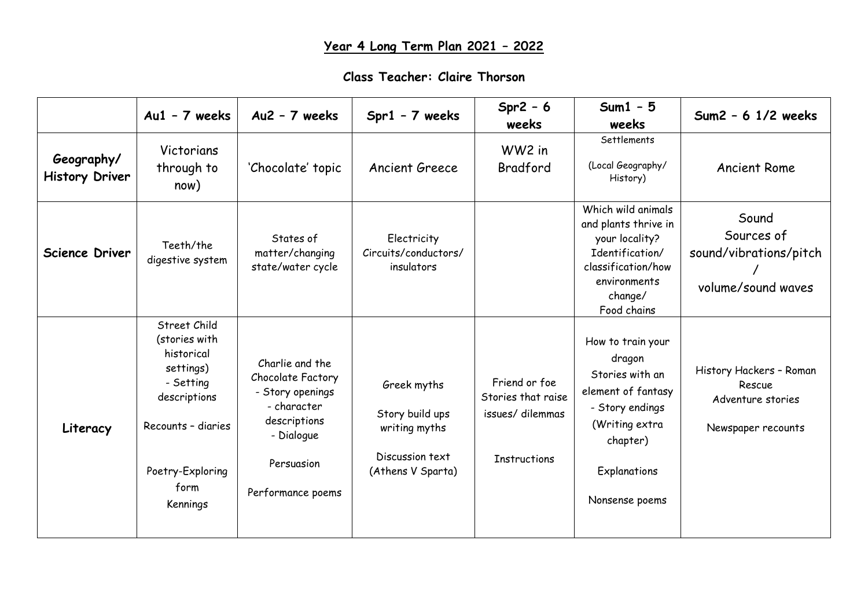## **Class Teacher: Claire Thorson**

|                                     | $Au1 - 7$ weeks                                                                                                                                     | Au2 - 7 weeks                                                                                                                            | $Spr1 - 7$ weeks                                                                        | $Spr2 - 6$<br>weeks                                                           | $Sum1 - 5$<br>weeks                                                                                                                                     | $Sum2 - 6$ 1/2 weeks                                                         |
|-------------------------------------|-----------------------------------------------------------------------------------------------------------------------------------------------------|------------------------------------------------------------------------------------------------------------------------------------------|-----------------------------------------------------------------------------------------|-------------------------------------------------------------------------------|---------------------------------------------------------------------------------------------------------------------------------------------------------|------------------------------------------------------------------------------|
| Geography/<br><b>History Driver</b> | Victorians<br>through to<br>now)                                                                                                                    | 'Chocolate' topic                                                                                                                        | <b>Ancient Greece</b>                                                                   | WW2 in<br>Bradford                                                            | Settlements<br>(Local Geography/<br>History)                                                                                                            | <b>Ancient Rome</b>                                                          |
| <b>Science Driver</b>               | Teeth/the<br>digestive system                                                                                                                       | States of<br>matter/changing<br>state/water cycle                                                                                        | Electricity<br>Circuits/conductors/<br>insulators                                       |                                                                               | Which wild animals<br>and plants thrive in<br>your locality?<br>Identification/<br>classification/how<br>environments<br>change/<br>Food chains         | Sound<br>Sources of<br>sound/vibrations/pitch<br>volume/sound waves          |
| Literacy                            | Street Child<br>(stories with<br>historical<br>settings)<br>- Setting<br>descriptions<br>Recounts - diaries<br>Poetry-Exploring<br>form<br>Kennings | Charlie and the<br>Chocolate Factory<br>- Story openings<br>- character<br>descriptions<br>- Dialogue<br>Persuasion<br>Performance poems | Greek myths<br>Story build ups<br>writing myths<br>Discussion text<br>(Athens V Sparta) | Friend or foe<br>Stories that raise<br>issues/dilemmas<br><b>Instructions</b> | How to train your<br>dragon<br>Stories with an<br>element of fantasy<br>- Story endings<br>(Writing extra<br>chapter)<br>Explanations<br>Nonsense poems | History Hackers - Roman<br>Rescue<br>Adventure stories<br>Newspaper recounts |